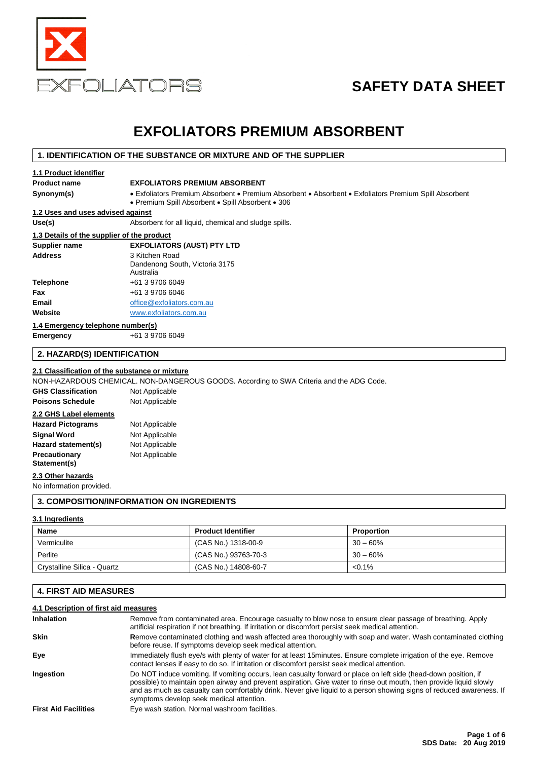

# **SAFETY DATA SHEET**

## **EXFOLIATORS PREMIUM ABSORBENT**

### **1. IDENTIFICATION OF THE SUBSTANCE OR MIXTURE AND OF THE SUPPLIER**

| 1.1 Product identifier                     |                                                                                                                                                            |
|--------------------------------------------|------------------------------------------------------------------------------------------------------------------------------------------------------------|
| <b>Product name</b>                        | <b>EXFOLIATORS PREMIUM ABSORBENT</b>                                                                                                                       |
| Synonym(s)                                 | • Exfoliators Premium Absorbent • Premium Absorbent • Absorbent • Exfoliators Premium Spill Absorbent<br>• Premium Spill Absorbent • Spill Absorbent • 306 |
| 1.2 Uses and uses advised against          |                                                                                                                                                            |
| Use(s)                                     | Absorbent for all liquid, chemical and sludge spills.                                                                                                      |
| 1.3 Details of the supplier of the product |                                                                                                                                                            |
| Supplier name                              | <b>EXFOLIATORS (AUST) PTY LTD</b>                                                                                                                          |
| <b>Address</b>                             | 3 Kitchen Road<br>Dandenong South, Victoria 3175<br>Australia                                                                                              |
| Telephone                                  | +61 3 9706 6049                                                                                                                                            |
| Fax                                        | +61 3 9706 6046                                                                                                                                            |
| Email                                      | office@exfoliators.com.au                                                                                                                                  |
| Website                                    | www.exfoliators.com.au                                                                                                                                     |
| 1.4 Emergency telephone number(s)          |                                                                                                                                                            |
| Emergency                                  | +61 3 9706 6049                                                                                                                                            |
|                                            |                                                                                                                                                            |

### **2. HAZARD(S) IDENTIFICATION**

### **2.1 Classification of the substance or mixture**

NON-HAZARDOUS CHEMICAL. NON-DANGEROUS GOODS. According to SWA Criteria and the ADG Code.

| <b>GHS Classification</b> | Not Applicable |
|---------------------------|----------------|
| <b>Poisons Schedule</b>   | Not Applicable |
| 2.2 GHS Label elements    |                |
| <b>Hazard Pictograms</b>  | Not Applicable |
| <b>Signal Word</b>        | Not Applicable |
| Hazard statement(s)       | Not Applicable |
| Precautionary             | Not Applicable |
| Statement(s)              |                |

#### **2.3 Other hazards**

No information provided.

### **3. COMPOSITION/INFORMATION ON INGREDIENTS**

### **3.1 Ingredients**

| Name                        | <b>Product Identifier</b> | Proportion |
|-----------------------------|---------------------------|------------|
| Vermiculite                 | (CAS No.) 1318-00-9       | $30 - 60%$ |
| Perlite                     | (CAS No.) 93763-70-3      | $30 - 60%$ |
| Crystalline Silica - Quartz | (CAS No.) 14808-60-7      | $< 0.1\%$  |

### **4. FIRST AID MEASURES**

### **4.1 Description of first aid measures**

| <b>Inhalation</b>           | Remove from contaminated area. Encourage casualty to blow nose to ensure clear passage of breathing. Apply<br>artificial respiration if not breathing. If irritation or discomfort persist seek medical attention.                                                                                                                                                                                        |
|-----------------------------|-----------------------------------------------------------------------------------------------------------------------------------------------------------------------------------------------------------------------------------------------------------------------------------------------------------------------------------------------------------------------------------------------------------|
| <b>Skin</b>                 | Remove contaminated clothing and wash affected area thoroughly with soap and water. Wash contaminated clothing<br>before reuse. If symptoms develop seek medical attention.                                                                                                                                                                                                                               |
| Eye                         | Immediately flush eye/s with plenty of water for at least 15 minutes. Ensure complete irrigation of the eye. Remove<br>contact lenses if easy to do so. If irritation or discomfort persist seek medical attention.                                                                                                                                                                                       |
| Ingestion                   | Do NOT induce vomiting. If vomiting occurs, lean casualty forward or place on left side (head-down position, if<br>possible) to maintain open airway and prevent aspiration. Give water to rinse out mouth, then provide liquid slowly<br>and as much as casualty can comfortably drink. Never give liquid to a person showing signs of reduced awareness. If<br>symptoms develop seek medical attention. |
| <b>First Aid Facilities</b> | Eye wash station. Normal washroom facilities.                                                                                                                                                                                                                                                                                                                                                             |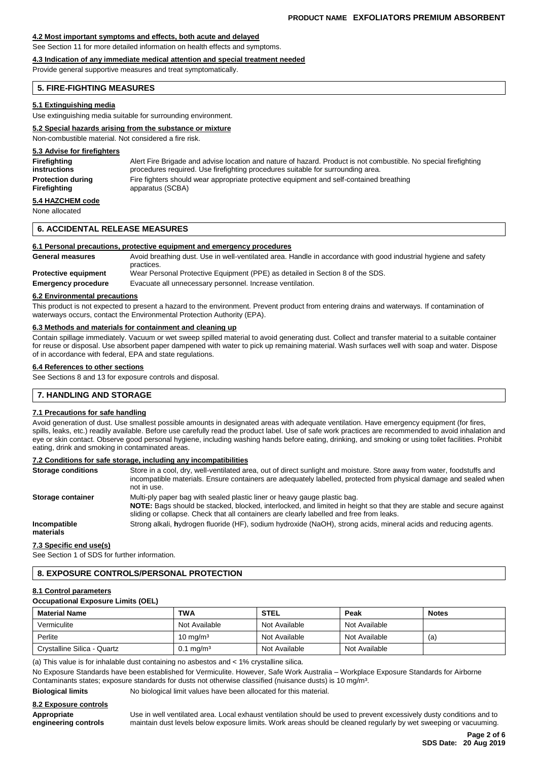#### **4.2 Most important symptoms and effects, both acute and delayed**

See Section 11 for more detailed information on health effects and symptoms.

### **4.3 Indication of any immediate medical attention and special treatment needed**

Provide general supportive measures and treat symptomatically.

#### **5. FIRE-FIGHTING MEASURES**

#### **5.1 Extinguishing media**

Use extinguishing media suitable for surrounding environment.

#### **5.2 Special hazards arising from the substance or mixture**

Non-combustible material. Not considered a fire risk.

### **5.3 Advise for firefighters Firefighting** Alert Fire Brigade and advise location and nature of hazard. Product is not combustible. No special firefighting **instructions procedures required.** Use firefighting procedures suitable for surrounding area. **Protection during** Fire fighters should wear appropriate protective equipment and self-contained breathing **Firefighting** apparatus (SCBA) **5.4 HAZCHEM code**

None allocated

#### **6. ACCIDENTAL RELEASE MEASURES**

#### **6.1 Personal precautions, protective equipment and emergency procedures**

**General measures** Avoid breathing dust. Use in well-ventilated area. Handle in accordance with good industrial hygiene and safety practices. **Protective equipment** Wear Personal Protective Equipment (PPE) as detailed in Section 8 of the SDS.

**Emergency procedure** Evacuate all unnecessary personnel. Increase ventilation.

#### **6.2 Environmental precautions**

This product is not expected to present a hazard to the environment. Prevent product from entering drains and waterways. If contamination of waterways occurs, contact the Environmental Protection Authority (EPA).

#### **6.3 Methods and materials for containment and cleaning up**

Contain spillage immediately. Vacuum or wet sweep spilled material to avoid generating dust. Collect and transfer material to a suitable container for reuse or disposal. Use absorbent paper dampened with water to pick up remaining material. Wash surfaces well with soap and water. Dispose of in accordance with federal, EPA and state regulations.

#### **6.4 References to other sections**

See Sections 8 and 13 for exposure controls and disposal.

#### **7. HANDLING AND STORAGE**

#### **7.1 Precautions for safe handling**

Avoid generation of dust. Use smallest possible amounts in designated areas with adequate ventilation. Have emergency equipment (for fires, spills, leaks, etc.) readily available. Before use carefully read the product label. Use of safe work practices are recommended to avoid inhalation and eye or skin contact. Observe good personal hygiene, including washing hands before eating, drinking, and smoking or using toilet facilities. Prohibit eating, drink and smoking in contaminated areas.

#### **7.2 Conditions for safe storage, including any incompatibilities**

| <b>Storage conditions</b> | Store in a cool, dry, well-ventilated area, out of direct sunlight and moisture. Store away from water, foodstuffs and<br>incompatible materials. Ensure containers are adequately labelled, protected from physical damage and sealed when<br>not in use.                                    |
|---------------------------|-----------------------------------------------------------------------------------------------------------------------------------------------------------------------------------------------------------------------------------------------------------------------------------------------|
| Storage container         | Multi-ply paper bag with sealed plastic liner or heavy gauge plastic bag.<br>NOTE: Bags should be stacked, blocked, interlocked, and limited in height so that they are stable and secure against<br>sliding or collapse. Check that all containers are clearly labelled and free from leaks. |
| Incompatible<br>materials | Strong alkali, hydrogen fluoride (HF), sodium hydroxide (NaOH), strong acids, mineral acids and reducing agents.                                                                                                                                                                              |
|                           |                                                                                                                                                                                                                                                                                               |

#### **7.3 Specific end use(s)**

See Section 1 of SDS for further information.

#### **8. EXPOSURE CONTROLS/PERSONAL PROTECTION**

#### **8.1 Control parameters**

**Occupational Exposure Limits (OEL)**

| <b>Material Name</b>        | <b>TWA</b>              | <b>STEL</b>   | Peak          | <b>Notes</b> |
|-----------------------------|-------------------------|---------------|---------------|--------------|
| Vermiculite                 | Not Available           | Not Available | Not Available |              |
| Perlite                     | $10 \text{ mg/m}^3$     | Not Available | Not Available | (a)          |
| Crystalline Silica - Quartz | $0.1 \,\mathrm{mg/m^3}$ | Not Available | Not Available |              |

(a) This value is for inhalable dust containing no asbestos and < 1% crystalline silica.

No Exposure Standards have been established for Vermiculite. However, Safe Work Australia – Workplace Exposure Standards for Airborne Contaminants states; exposure standards for dusts not otherwise classified (nuisance dusts) is 10 mg/m³.

#### **Biological limits** No biological limit values have been allocated for this material.

**8.2 Exposure controls**

**Appropriate** Use in well ventilated area. Local exhaust ventilation should be used to prevent excessively dusty conditions and to **engineering controls** maintain dust levels below exposure limits. Work areas should be cleaned regularly by wet sweeping or vacuuming.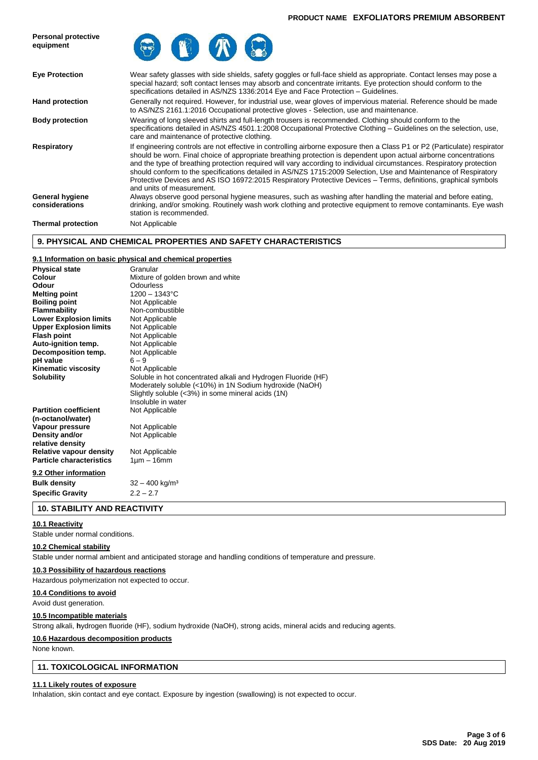

### **9. PHYSICAL AND CHEMICAL PROPERTIES AND SAFETY CHARACTERISTICS**

#### **9.1 Information on basic physical and chemical properties**

| <b>Physical state</b>           | Granular                                                      |
|---------------------------------|---------------------------------------------------------------|
| Colour                          | Mixture of golden brown and white                             |
| Odour                           | Odourless                                                     |
| <b>Melting point</b>            | $1200 - 1343$ °C                                              |
| <b>Boiling point</b>            | Not Applicable                                                |
| <b>Flammability</b>             | Non-combustible                                               |
| <b>Lower Explosion limits</b>   | Not Applicable                                                |
| <b>Upper Explosion limits</b>   | Not Applicable                                                |
| <b>Flash point</b>              | Not Applicable                                                |
| Auto-ignition temp.             | Not Applicable                                                |
| Decomposition temp.             | Not Applicable                                                |
| pH value                        | $6 - 9$                                                       |
| <b>Kinematic viscosity</b>      | Not Applicable                                                |
| <b>Solubility</b>               | Soluble in hot concentrated alkali and Hydrogen Fluoride (HF) |
|                                 | Moderately soluble (<10%) in 1N Sodium hydroxide (NaOH)       |
|                                 | Slightly soluble (<3%) in some mineral acids (1N)             |
|                                 | Insoluble in water                                            |
| <b>Partition coefficient</b>    | Not Applicable                                                |
| (n-octanol/water)               |                                                               |
| Vapour pressure                 | Not Applicable                                                |
| Density and/or                  | Not Applicable                                                |
| relative density                |                                                               |
| Relative vapour density         | Not Applicable                                                |
| <b>Particle characteristics</b> | $1 \mu m - 16 \text{mm}$                                      |
| 9.2 Other information           |                                                               |
| <b>Bulk density</b>             | $32 - 400$ kg/m <sup>3</sup>                                  |
| <b>Specific Gravity</b>         | $2.2 - 2.7$                                                   |

**10.1 Reactivity**

**10. STABILITY AND REACTIVITY**

Stable under normal conditions.

#### **10.2 Chemical stability**

Stable under normal ambient and anticipated storage and handling conditions of temperature and pressure.

#### **10.3 Possibility of hazardous reactions**

Hazardous polymerization not expected to occur.

#### **10.4 Conditions to avoid**

Avoid dust generation.

#### **10.5 Incompatible materials**

Strong alkali, **h**ydrogen fluoride (HF), sodium hydroxide (NaOH), strong acids, mineral acids and reducing agents.

#### **10.6 Hazardous decomposition products**

None known.

#### **11. TOXICOLOGICAL INFORMATION**

#### **11.1 Likely routes of exposure**

Inhalation, skin contact and eye contact. Exposure by ingestion (swallowing) is not expected to occur.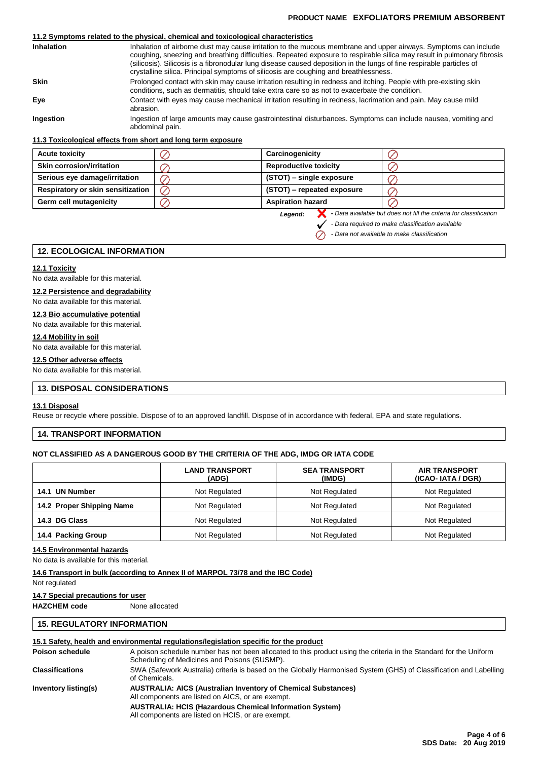### **PRODUCT NAME EXFOLIATORS PREMIUM ABSORBENT**

### **11.2 Symptoms related to the physical, chemical and toxicological characteristics**

| <b>Inhalation</b> | Inhalation of airborne dust may cause irritation to the mucous membrane and upper airways. Symptoms can include<br>coughing, sneezing and breathing difficulties. Repeated exposure to respirable silica may result in pulmonary fibrosis<br>(silicosis). Silicosis is a fibronodular lung disease caused deposition in the lungs of fine respirable particles of<br>crystalline silica. Principal symptoms of silicosis are coughing and breathlessness. |
|-------------------|-----------------------------------------------------------------------------------------------------------------------------------------------------------------------------------------------------------------------------------------------------------------------------------------------------------------------------------------------------------------------------------------------------------------------------------------------------------|
| <b>Skin</b>       | Prolonged contact with skin may cause irritation resulting in redness and itching. People with pre-existing skin<br>conditions, such as dermatitis, should take extra care so as not to exacerbate the condition.                                                                                                                                                                                                                                         |
| Eye               | Contact with eyes may cause mechanical irritation resulting in redness, lacrimation and pain. May cause mild<br>abrasion.                                                                                                                                                                                                                                                                                                                                 |
| Ingestion         | Ingestion of large amounts may cause gastrointestinal disturbances. Symptoms can include nausea, vomiting and<br>abdominal pain.                                                                                                                                                                                                                                                                                                                          |

#### **11.3 Toxicological effects from short and long term exposure**

| <b>Acute toxicity</b>             | Carcinogenicity              |  |
|-----------------------------------|------------------------------|--|
| <b>Skin corrosion/irritation</b>  | <b>Reproductive toxicity</b> |  |
| Serious eye damage/irritation     | (STOT) – single exposure     |  |
| Respiratory or skin sensitization | (STOT) – repeated exposure   |  |
| Germ cell mutagenicity            | <b>Aspiration hazard</b>     |  |

*Legend:*

**-** *Data available but does not fill the criteria for classification*

*- Data required to make classification available*

*- Data not available to make classification* $\oslash$ 

### **12. ECOLOGICAL INFORMATION**

#### **12.1 Toxicity**

No data available for this material.

### **12.2 Persistence and degradability**

No data available for this material.

### **12.3 Bio accumulative potential**

No data available for this material.

### **12.4 Mobility in soil**

No data available for this material.

### **12.5 Other adverse effects**

No data available for this material.

### **13. DISPOSAL CONSIDERATIONS**

#### **13.1 Disposal**

Reuse or recycle where possible. Dispose of to an approved landfill. Dispose of in accordance with federal, EPA and state regulations.

### **14. TRANSPORT INFORMATION**

#### **NOT CLASSIFIED AS A DANGEROUS GOOD BY THE CRITERIA OF THE ADG, IMDG OR IATA CODE**

|                           | <b>LAND TRANSPORT</b><br>(ADG) | <b>SEA TRANSPORT</b><br>(IMDG) | <b>AIR TRANSPORT</b><br>(ICAO-IATA / DGR) |
|---------------------------|--------------------------------|--------------------------------|-------------------------------------------|
| 14.1 UN Number            | Not Regulated                  | Not Regulated                  | Not Regulated                             |
| 14.2 Proper Shipping Name | Not Regulated                  | Not Regulated                  | Not Regulated                             |
| 14.3 DG Class             | Not Regulated                  | Not Regulated                  | Not Regulated                             |
| 14.4 Packing Group        | Not Regulated                  | Not Regulated                  | Not Regulated                             |

#### **14.5 Environmental hazards**

No data is available for this material.

#### **14.6 Transport in bulk (according to Annex II of MARPOL 73/78 and the IBC Code)**

Not regulated

#### **14.7 Special precautions for user**

**HAZCHEM code** None allocated

### **15. REGULATORY INFORMATION**

#### **15.1 Safety, health and environmental regulations/legislation specific for the product**

| Poison schedule        | A poison schedule number has not been allocated to this product using the criteria in the Standard for the Uniform<br>Scheduling of Medicines and Poisons (SUSMP).                                                                               |
|------------------------|--------------------------------------------------------------------------------------------------------------------------------------------------------------------------------------------------------------------------------------------------|
| <b>Classifications</b> | SWA (Safework Australia) criteria is based on the Globally Harmonised System (GHS) of Classification and Labelling<br>of Chemicals.                                                                                                              |
| Inventory listing(s)   | <b>AUSTRALIA: AICS (Australian Inventory of Chemical Substances)</b><br>All components are listed on AICS, or are exempt.<br><b>AUSTRALIA: HCIS (Hazardous Chemical Information System)</b><br>All components are listed on HCIS, or are exempt. |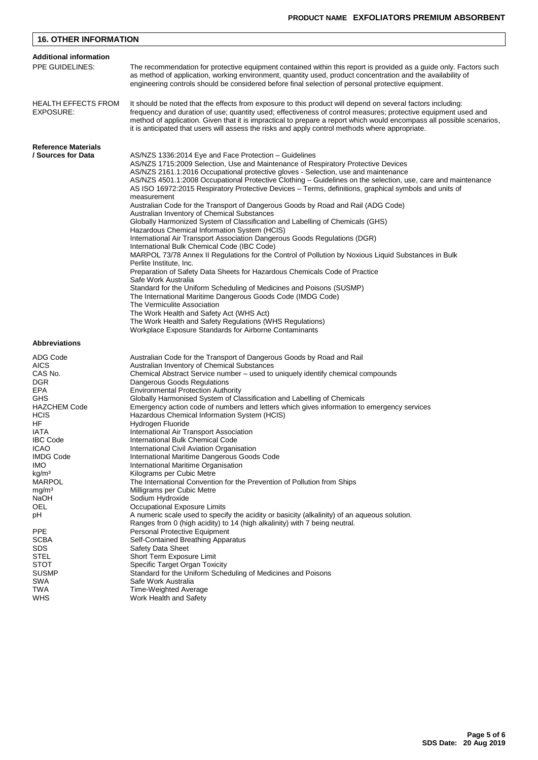| <b>16. OTHER INFORMATION</b>                                                                                                                                                                                                                                                   |                                                                                                                                                                                                                                                                                                                                                                                                                                                                                                                                                                                                                                                                                                                                                                                                                                                                                                                                                                                                                                                                                                                                                                                                                                                                                       |
|--------------------------------------------------------------------------------------------------------------------------------------------------------------------------------------------------------------------------------------------------------------------------------|---------------------------------------------------------------------------------------------------------------------------------------------------------------------------------------------------------------------------------------------------------------------------------------------------------------------------------------------------------------------------------------------------------------------------------------------------------------------------------------------------------------------------------------------------------------------------------------------------------------------------------------------------------------------------------------------------------------------------------------------------------------------------------------------------------------------------------------------------------------------------------------------------------------------------------------------------------------------------------------------------------------------------------------------------------------------------------------------------------------------------------------------------------------------------------------------------------------------------------------------------------------------------------------|
| <b>Additional information</b>                                                                                                                                                                                                                                                  |                                                                                                                                                                                                                                                                                                                                                                                                                                                                                                                                                                                                                                                                                                                                                                                                                                                                                                                                                                                                                                                                                                                                                                                                                                                                                       |
| PPE GUIDELINES:                                                                                                                                                                                                                                                                | The recommendation for protective equipment contained within this report is provided as a guide only. Factors such<br>as method of application, working environment, quantity used, product concentration and the availability of<br>engineering controls should be considered before final selection of personal protective equipment.                                                                                                                                                                                                                                                                                                                                                                                                                                                                                                                                                                                                                                                                                                                                                                                                                                                                                                                                               |
| <b>HEALTH EFFECTS FROM</b><br>EXPOSURE:                                                                                                                                                                                                                                        | It should be noted that the effects from exposure to this product will depend on several factors including:<br>frequency and duration of use; quantity used; effectiveness of control measures; protective equipment used and<br>method of application. Given that it is impractical to prepare a report which would encompass all possible scenarios,<br>it is anticipated that users will assess the risks and apply control methods where appropriate.                                                                                                                                                                                                                                                                                                                                                                                                                                                                                                                                                                                                                                                                                                                                                                                                                             |
| <b>Reference Materials</b>                                                                                                                                                                                                                                                     |                                                                                                                                                                                                                                                                                                                                                                                                                                                                                                                                                                                                                                                                                                                                                                                                                                                                                                                                                                                                                                                                                                                                                                                                                                                                                       |
| / Sources for Data                                                                                                                                                                                                                                                             | AS/NZS 1336:2014 Eye and Face Protection - Guidelines<br>AS/NZS 1715:2009 Selection, Use and Maintenance of Respiratory Protective Devices<br>AS/NZS 2161.1:2016 Occupational protective gloves - Selection, use and maintenance<br>AS/NZS 4501.1:2008 Occupational Protective Clothing – Guidelines on the selection, use, care and maintenance<br>AS ISO 16972:2015 Respiratory Protective Devices – Terms, definitions, graphical symbols and units of<br>measurement<br>Australian Code for the Transport of Dangerous Goods by Road and Rail (ADG Code)<br>Australian Inventory of Chemical Substances<br>Globally Harmonized System of Classification and Labelling of Chemicals (GHS)<br>Hazardous Chemical Information System (HCIS)<br>International Air Transport Association Dangerous Goods Regulations (DGR)<br>International Bulk Chemical Code (IBC Code)<br>MARPOL 73/78 Annex II Regulations for the Control of Pollution by Noxious Liquid Substances in Bulk<br>Perlite Institute, Inc.<br>Preparation of Safety Data Sheets for Hazardous Chemicals Code of Practice<br>Safe Work Australia<br>Standard for the Uniform Scheduling of Medicines and Poisons (SUSMP)<br>The International Maritime Dangerous Goods Code (IMDG Code)<br>The Vermiculite Association |
|                                                                                                                                                                                                                                                                                | The Work Health and Safety Act (WHS Act)<br>The Work Health and Safety Regulations (WHS Regulations)<br>Workplace Exposure Standards for Airborne Contaminants                                                                                                                                                                                                                                                                                                                                                                                                                                                                                                                                                                                                                                                                                                                                                                                                                                                                                                                                                                                                                                                                                                                        |
| <b>Abbreviations</b>                                                                                                                                                                                                                                                           |                                                                                                                                                                                                                                                                                                                                                                                                                                                                                                                                                                                                                                                                                                                                                                                                                                                                                                                                                                                                                                                                                                                                                                                                                                                                                       |
| ADG Code<br><b>AICS</b><br>CAS No.<br><b>DGR</b><br><b>EPA</b><br><b>GHS</b><br><b>HAZCHEM Code</b><br><b>HCIS</b><br>HF<br><b>IATA</b><br><b>IBC Code</b><br>ICAO<br><b>IMDG Code</b><br>IMO.<br>kg/m <sup>3</sup><br><b>MARPOL</b><br>mg/m <sup>3</sup><br>NaOH<br>OEL<br>рH | Australian Code for the Transport of Dangerous Goods by Road and Rail<br>Australian Inventory of Chemical Substances<br>Chemical Abstract Service number – used to uniquely identify chemical compounds<br>Dangerous Goods Regulations<br><b>Environmental Protection Authority</b><br>Globally Harmonised System of Classification and Labelling of Chemicals<br>Emergency action code of numbers and letters which gives information to emergency services<br>Hazardous Chemical Information System (HCIS)<br>Hydrogen Fluoride<br>International Air Transport Association<br>International Bulk Chemical Code<br>International Civil Aviation Organisation<br>International Maritime Dangerous Goods Code<br>International Maritime Organisation<br>Kilograms per Cubic Metre<br>The International Convention for the Prevention of Pollution from Ships<br>Milligrams per Cubic Metre<br>Sodium Hydroxide<br>Occupational Exposure Limits<br>A numeric scale used to specify the acidity or basicity (alkalinity) of an aqueous solution.<br>Ranges from 0 (high acidity) to 14 (high alkalinity) with 7 being neutral.                                                                                                                                                           |
| PPE<br><b>SCBA</b><br><b>SDS</b><br>STEL<br><b>STOT</b><br><b>SUSMP</b><br><b>SWA</b><br>TWA<br><b>WHS</b>                                                                                                                                                                     | Personal Protective Equipment<br>Self-Contained Breathing Apparatus<br>Safety Data Sheet<br>Short Term Exposure Limit<br>Specific Target Organ Toxicity<br>Standard for the Uniform Scheduling of Medicines and Poisons<br>Safe Work Australia<br><b>Time-Weighted Average</b><br>Work Health and Safety                                                                                                                                                                                                                                                                                                                                                                                                                                                                                                                                                                                                                                                                                                                                                                                                                                                                                                                                                                              |